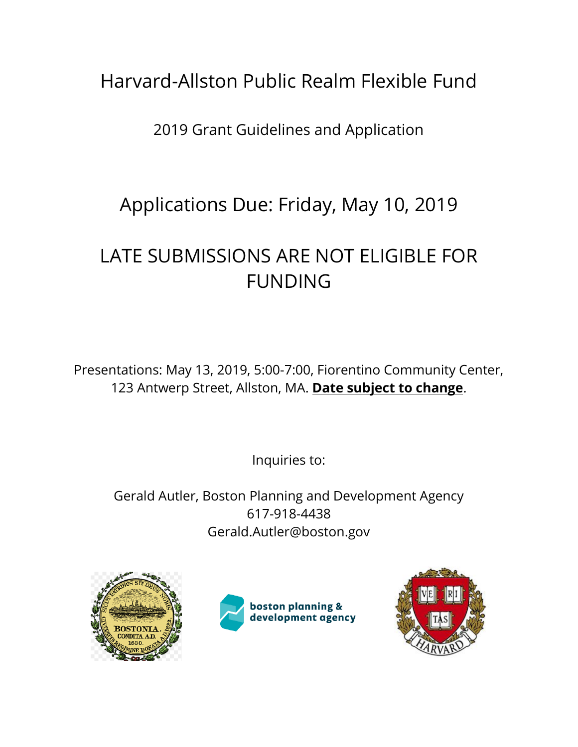# Harvard-Allston Public Realm Flexible Fund

2019 Grant Guidelines and Application

# Applications Due: Friday, May 10, 2019

# LATE SUBMISSIONS ARE NOT ELIGIBLE FOR FUNDING

Presentations: May 13, 2019, 5:00-7:00, Fiorentino Community Center, 123 Antwerp Street, Allston, MA. **Date subject to change**.

Inquiries to:

Gerald Autler, Boston Planning and Development Agency 617-918-4438 Gerald.Autler@boston.gov





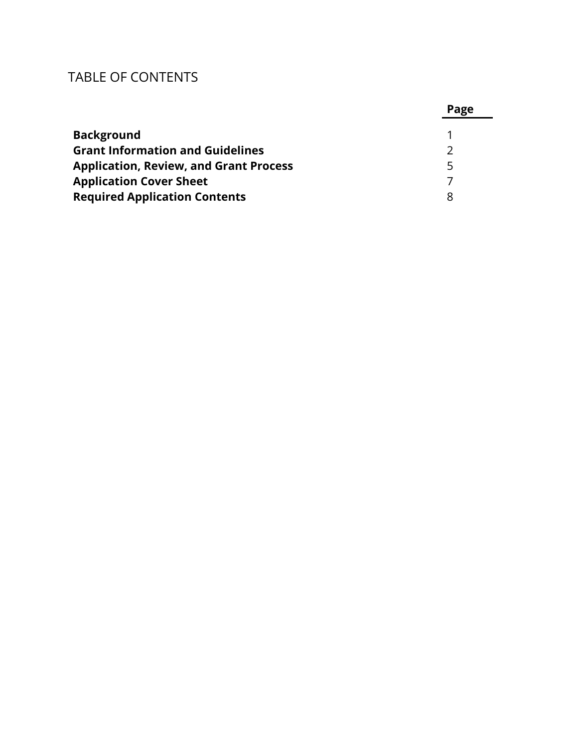# TABLE OF CONTENTS

|                                               | Page |
|-----------------------------------------------|------|
| <b>Background</b>                             |      |
| <b>Grant Information and Guidelines</b>       |      |
| <b>Application, Review, and Grant Process</b> | 5    |
| <b>Application Cover Sheet</b>                |      |
| <b>Required Application Contents</b>          |      |

### **P**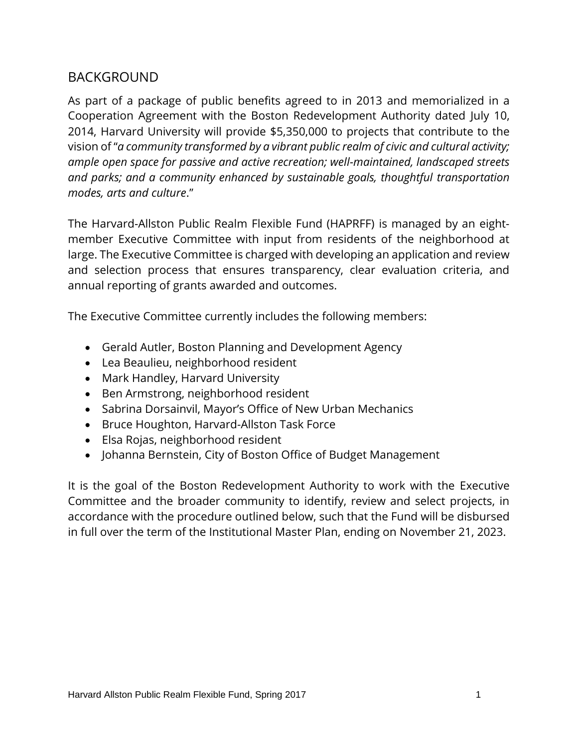### BACKGROUND

As part of a package of public benefits agreed to in 2013 and memorialized in a Cooperation Agreement with the Boston Redevelopment Authority dated July 10, 2014, Harvard University will provide \$5,350,000 to projects that contribute to the vision of "*a community transformed by a vibrant public realm of civic and cultural activity; ample open space for passive and active recreation; well-maintained, landscaped streets and parks; and a community enhanced by sustainable goals, thoughtful transportation modes, arts and culture*."

The Harvard-Allston Public Realm Flexible Fund (HAPRFF) is managed by an eightmember Executive Committee with input from residents of the neighborhood at large. The Executive Committee is charged with developing an application and review and selection process that ensures transparency, clear evaluation criteria, and annual reporting of grants awarded and outcomes.

The Executive Committee currently includes the following members:

- Gerald Autler, Boston Planning and Development Agency
- Lea Beaulieu, neighborhood resident
- Mark Handley, Harvard University
- Ben Armstrong, neighborhood resident
- Sabrina Dorsainvil, Mayor's Office of New Urban Mechanics
- Bruce Houghton, Harvard-Allston Task Force
- Elsa Rojas, neighborhood resident
- Johanna Bernstein, City of Boston Office of Budget Management

It is the goal of the Boston Redevelopment Authority to work with the Executive Committee and the broader community to identify, review and select projects, in accordance with the procedure outlined below, such that the Fund will be disbursed in full over the term of the Institutional Master Plan, ending on November 21, 2023.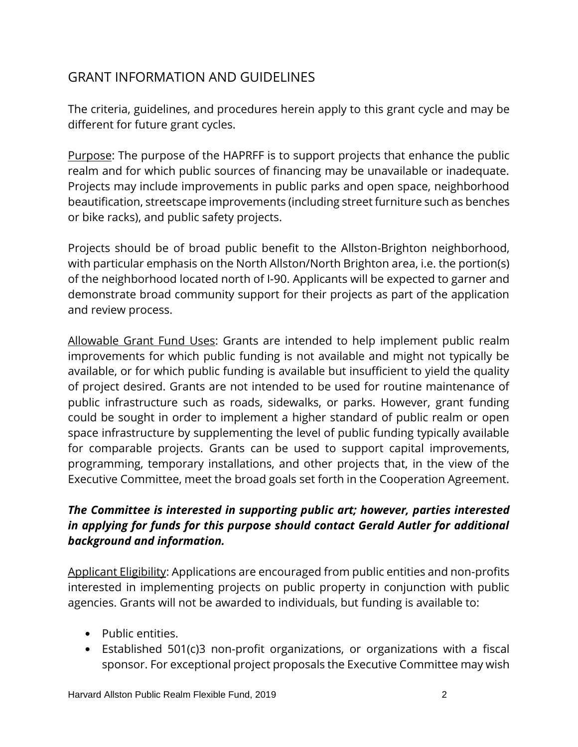### GRANT INFORMATION AND GUIDELINES

The criteria, guidelines, and procedures herein apply to this grant cycle and may be different for future grant cycles.

Purpose: The purpose of the HAPRFF is to support projects that enhance the public realm and for which public sources of financing may be unavailable or inadequate. Projects may include improvements in public parks and open space, neighborhood beautification, streetscape improvements (including street furniture such as benches or bike racks), and public safety projects.

Projects should be of broad public benefit to the Allston-Brighton neighborhood, with particular emphasis on the North Allston/North Brighton area, i.e. the portion(s) of the neighborhood located north of I-90. Applicants will be expected to garner and demonstrate broad community support for their projects as part of the application and review process.

Allowable Grant Fund Uses: Grants are intended to help implement public realm improvements for which public funding is not available and might not typically be available, or for which public funding is available but insufficient to yield the quality of project desired. Grants are not intended to be used for routine maintenance of public infrastructure such as roads, sidewalks, or parks. However, grant funding could be sought in order to implement a higher standard of public realm or open space infrastructure by supplementing the level of public funding typically available for comparable projects. Grants can be used to support capital improvements, programming, temporary installations, and other projects that, in the view of the Executive Committee, meet the broad goals set forth in the Cooperation Agreement.

#### *The Committee is interested in supporting public art; however, parties interested in applying for funds for this purpose should contact Gerald Autler for additional background and information.*

Applicant Eligibility: Applications are encouraged from public entities and non-profits interested in implementing projects on public property in conjunction with public agencies. Grants will not be awarded to individuals, but funding is available to:

- Public entities.
- Established 501(c)3 non-profit organizations, or organizations with a fiscal sponsor. For exceptional project proposals the Executive Committee may wish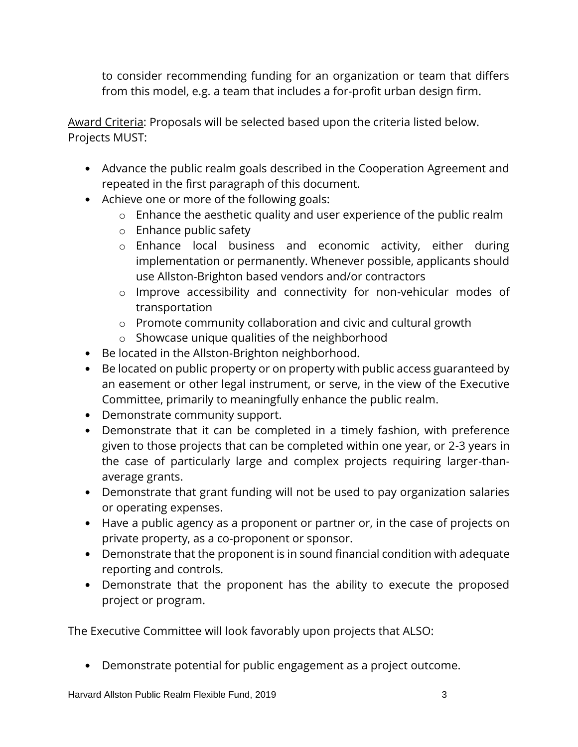to consider recommending funding for an organization or team that differs from this model, e.g. a team that includes a for-profit urban design firm.

Award Criteria: Proposals will be selected based upon the criteria listed below. Projects MUST:

- Advance the public realm goals described in the Cooperation Agreement and repeated in the first paragraph of this document.
- Achieve one or more of the following goals:
	- o Enhance the aesthetic quality and user experience of the public realm
	- o Enhance public safety
	- o Enhance local business and economic activity, either during implementation or permanently. Whenever possible, applicants should use Allston-Brighton based vendors and/or contractors
	- o Improve accessibility and connectivity for non-vehicular modes of transportation
	- o Promote community collaboration and civic and cultural growth
	- o Showcase unique qualities of the neighborhood
- Be located in the Allston-Brighton neighborhood.
- Be located on public property or on property with public access guaranteed by an easement or other legal instrument, or serve, in the view of the Executive Committee, primarily to meaningfully enhance the public realm.
- Demonstrate community support.
- Demonstrate that it can be completed in a timely fashion, with preference given to those projects that can be completed within one year, or 2-3 years in the case of particularly large and complex projects requiring larger-thanaverage grants.
- Demonstrate that grant funding will not be used to pay organization salaries or operating expenses.
- Have a public agency as a proponent or partner or, in the case of projects on private property, as a co-proponent or sponsor.
- Demonstrate that the proponent is in sound financial condition with adequate reporting and controls.
- Demonstrate that the proponent has the ability to execute the proposed project or program.

The Executive Committee will look favorably upon projects that ALSO:

• Demonstrate potential for public engagement as a project outcome.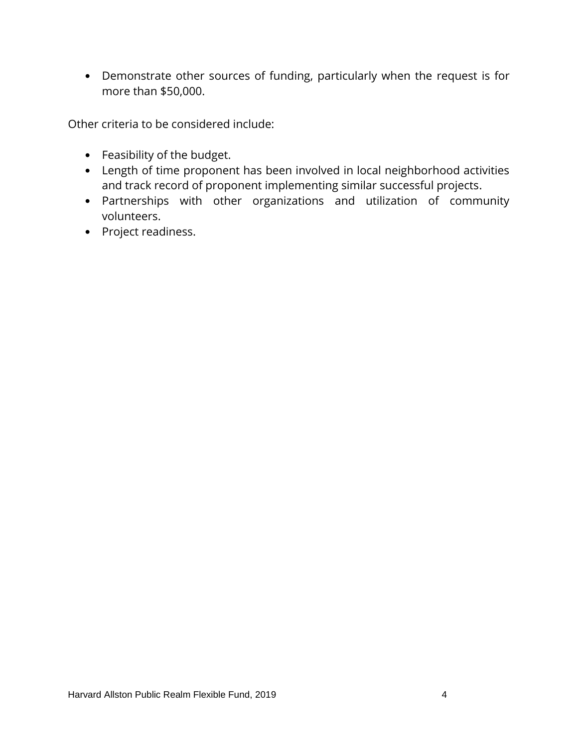• Demonstrate other sources of funding, particularly when the request is for more than \$50,000.

Other criteria to be considered include:

- Feasibility of the budget.
- Length of time proponent has been involved in local neighborhood activities and track record of proponent implementing similar successful projects.
- Partnerships with other organizations and utilization of community volunteers.
- Project readiness.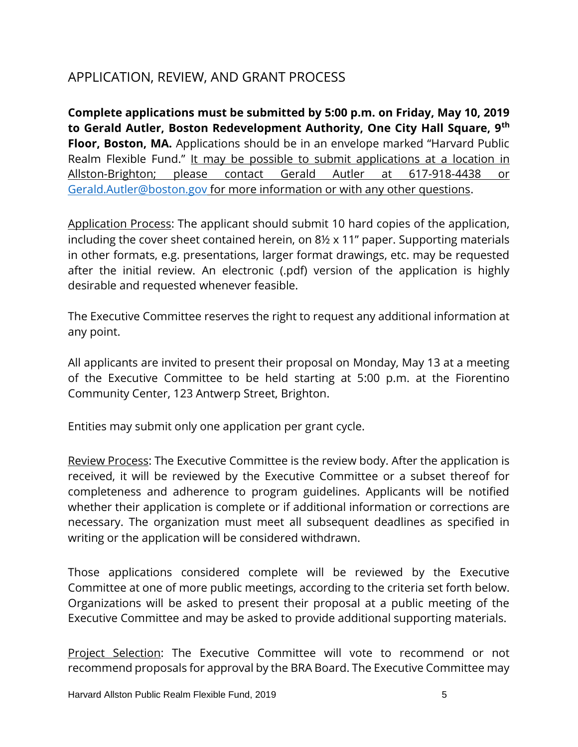### APPLICATION, REVIEW, AND GRANT PROCESS

**Complete applications must be submitted by 5:00 p.m. on Friday, May 10, 2019 to Gerald Autler, Boston Redevelopment Authority, One City Hall Square, 9th Floor, Boston, MA.** Applications should be in an envelope marked "Harvard Public Realm Flexible Fund." It may be possible to submit applications at a location in Allston-Brighton; please contact Gerald Autler at 617-918-4438 or [Gerald.Autler@boston.gov](mailto:Gerald.Autler@boston.gov) for more information or with any other questions.

Application Process: The applicant should submit 10 hard copies of the application, including the cover sheet contained herein, on 8½ x 11" paper. Supporting materials in other formats, e.g. presentations, larger format drawings, etc. may be requested after the initial review. An electronic (.pdf) version of the application is highly desirable and requested whenever feasible.

The Executive Committee reserves the right to request any additional information at any point.

All applicants are invited to present their proposal on Monday, May 13 at a meeting of the Executive Committee to be held starting at 5:00 p.m. at the Fiorentino Community Center, 123 Antwerp Street, Brighton.

Entities may submit only one application per grant cycle.

Review Process: The Executive Committee is the review body. After the application is received, it will be reviewed by the Executive Committee or a subset thereof for completeness and adherence to program guidelines. Applicants will be notified whether their application is complete or if additional information or corrections are necessary. The organization must meet all subsequent deadlines as specified in writing or the application will be considered withdrawn.

Those applications considered complete will be reviewed by the Executive Committee at one of more public meetings, according to the criteria set forth below. Organizations will be asked to present their proposal at a public meeting of the Executive Committee and may be asked to provide additional supporting materials.

Project Selection: The Executive Committee will vote to recommend or not recommend proposals for approval by the BRA Board. The Executive Committee may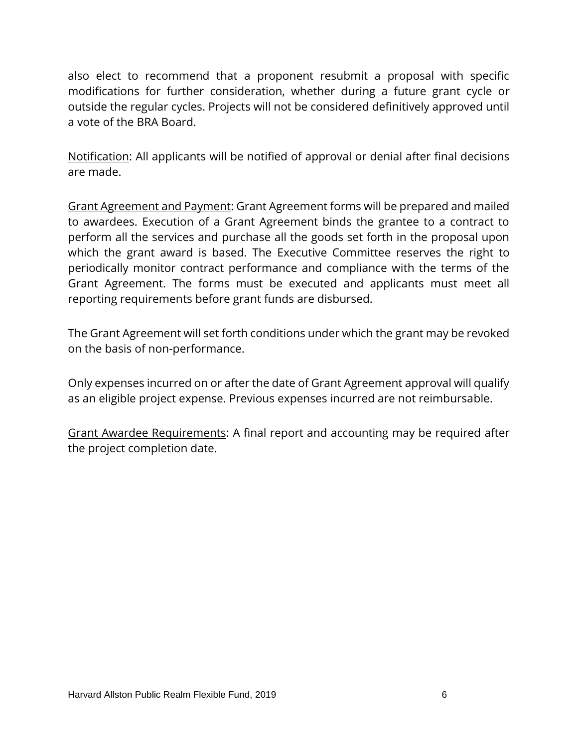also elect to recommend that a proponent resubmit a proposal with specific modifications for further consideration, whether during a future grant cycle or outside the regular cycles. Projects will not be considered definitively approved until a vote of the BRA Board.

Notification: All applicants will be notified of approval or denial after final decisions are made.

Grant Agreement and Payment: Grant Agreement forms will be prepared and mailed to awardees. Execution of a Grant Agreement binds the grantee to a contract to perform all the services and purchase all the goods set forth in the proposal upon which the grant award is based. The Executive Committee reserves the right to periodically monitor contract performance and compliance with the terms of the Grant Agreement. The forms must be executed and applicants must meet all reporting requirements before grant funds are disbursed.

The Grant Agreement will set forth conditions under which the grant may be revoked on the basis of non-performance.

Only expenses incurred on or after the date of Grant Agreement approval will qualify as an eligible project expense. Previous expenses incurred are not reimbursable.

Grant Awardee Requirements: A final report and accounting may be required after the project completion date.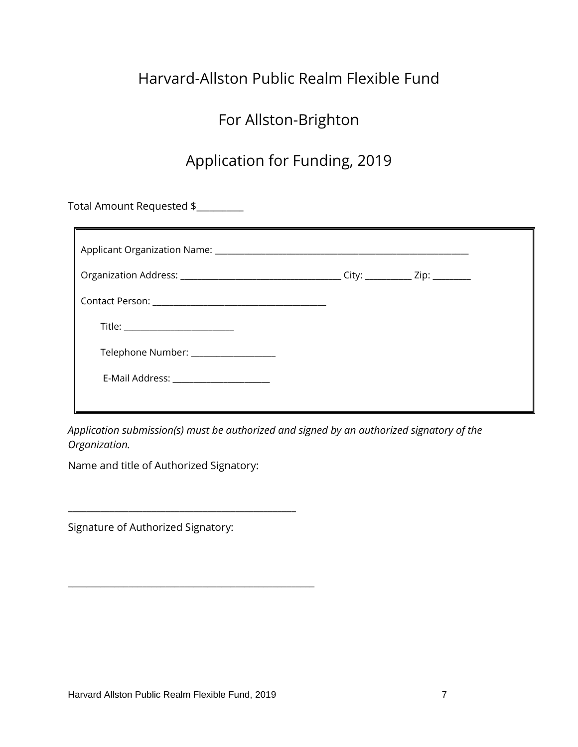# Harvard-Allston Public Realm Flexible Fund

## For Allston-Brighton

## Application for Funding, 2019

Total Amount Requested \$**\_\_\_\_\_\_\_\_\_\_\_** 

| Title: _________________________       |  |  |  |
|----------------------------------------|--|--|--|
| Telephone Number: __________________   |  |  |  |
| E-Mail Address: ______________________ |  |  |  |
|                                        |  |  |  |

*Application submission(s) must be authorized and signed by an authorized signatory of the Organization.* 

Name and title of Authorized Signatory:

\_\_\_\_\_\_\_\_\_\_\_\_\_\_\_\_\_\_\_\_\_\_\_\_\_\_\_\_\_\_\_\_\_\_\_\_\_\_\_\_\_\_\_\_\_\_\_\_\_

\_\_\_\_\_\_\_\_\_\_\_\_\_\_\_\_\_\_\_\_\_\_\_\_\_\_\_\_\_\_\_\_\_\_\_\_\_\_\_\_\_\_\_\_\_\_\_\_\_\_\_\_\_

Signature of Authorized Signatory: